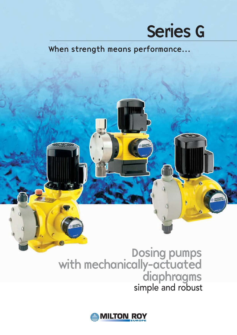## Series G

When strength means performance...

## Dosing pumps with mechanically-actuated diaphragms simple and robust

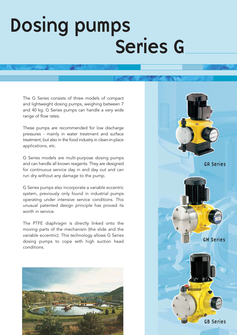## Dosing pumps Series G

The G Series consists of three models of compact and lightweight dosing pumps, weighing between 7 and 40 kg. G Series pumps can handle a very wide range of flow rates.

These pumps are recommended for low discharge pressures - mainly in water treatment and surface treatment, but also in the food industry in clean-in-place applications, etc.

G Series models are multi-purpose dosing pumps and can handle all known reagents. They are designed for continuous service day in and day out and can run dry without any damage to the pump.

G Series pumps also incorporate a variable eccentric system, previously only found in industrial pumps operating under intensive service conditions. This unusual patented design principle has proved its worth in service.

The PTFE diaphragm is directly linked onto the moving parts of the mechanism (the slide and the variable eccentric). This technology allows G Series dosing pumps to cope with high suction head conditions.



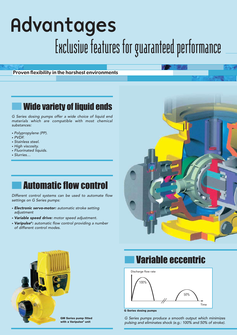## Advantages Exclusive features for guaranteed performance

Proven flexibility in the harshest environments

### **Wide variety of liquid ends**

G Series dosing pumps offer a wide choice of liquid end materials which are compatible with most chemical substances:

- Polypropylene (PP).
- PVDF.
- Stainless steel.
- High viscosity.
- Fluorinated liquids.
- Slurries…

### **Automatic flow control**

Different control systems can be used to automate flow settings on G Series pumps:

- Electronic servo-motor: automatic stroke setting adjustment
- Variable speed drive: motor speed adjustment.
- **Varipulse®:** automatic flow control providing a number of different control modes.





#### GM Series pump fitted with a Varipulse<sup>®</sup> unit

### **Variable eccentric**



G Series dosing pumps

G Series pumps produce a smooth output which minimizes pulsing and eliminates shock (e.g.: 100% and 50% of stroke).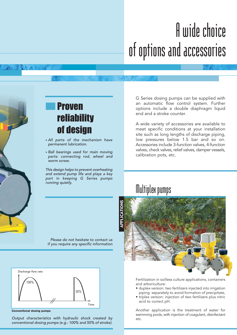## A wide choice of options and accessories



## **Proven** reliability of design

- All parts of the mechanism have permanent lubrication.
- Ball bearings used for main moving parts: connecting rod, wheel and worm screw.

This design helps to prevent overheating and extend pump life and plays a key part in keeping G Series pumps running quietly.

G Series dosing pumps can be supplied with an automatic flow control system. Further options include a double diaphragm liquid end and a stroke counter.

A wide variety of accessories are available to meet specific conditions at your installation site such as long lengths of discharge piping, low pressures below 1.5 bar and so on. Accessories include 3-function valves, 4-function valves, check valves, relief valves, damper vessels, calibration pots, etc.

## Multiplex pumps

Please do not hesitate to contact us if you require any specific information



Conventional dosing pumps

Output characteristics with hydraulic shock created by etc. conventional dosing pumps (e.g.: 100% and 50% of stroke).



Fertilization in soilless culture applications, containers and arboriculture:

- duplex version: two fertilizers injected into irrigation piping separately to avoid formation of precipitate,
- triplex version: injection of two fertilizers plus nitric acid to correct pH.

Another application is the treatment of water for swimming pools, with injection of coagulant, disinfectant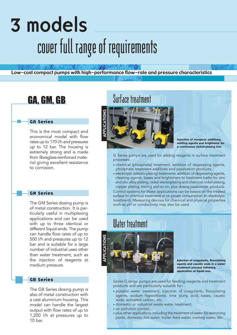## 3 models cover full range of requirements

Low-cost compact pumps with high-performance flow-rate and pressure characteristics

### GA Series

This is the most compact and economical model with flow rates up to 170 l/h and pressures up to 12 bar. The housing is extremely strong and is made from fibreglass-reinforced material giving excellent resistance to corrosion.

#### GM Series

The GM Series dosing pump is of metal construction. It is particularly useful in multiplexing applications and can be used with up to three identical or different liquid ends. The pump can handle flow rates of up to 500 l/h and pressures up to 12 bar and is suitable for a large number of industrial uses other than water treatment, such as the injection of reagents at medium pressure.

#### GB Series

The GB Series dosing pump is also of metal construction with a cast aluminium housing. This model can handle the largest output with flow rates of up to 1,200 l/h at pressures up to 10 bar.

### GA, GM, GB Surface treatment



Injection of inorganic additives, wetting agents and brightener for a continuous nickel-plating line

G Series pumps are used for adding reagents in surface treatment processes.

- chemical (phosphate) treatment: addition of degreasing agents, phosphate treatment additives and passivation products;
- electrolytic (electro-plating) treatments: addition of degreasing agents, cleaning agents, bases and brighteners to treatment baths for zinc and zinc alloy plating, nickel electroplating and chemical nickel plating, copper plating, tinning and so on, plus dosing passivation products. Control systems for these applications can be based on the treated surface (in chemical treatment) or on power consumption (in electrolytic treatment). Measuring devices for chemical and physical properties such as pH or conductivity may also be used.

### Water treatment



Injection of coagulants, flocculating agents and caustic soda in a water treatment process following application of liquid wax.

Series G range pumps are used for feeding reagents and treatment products and are particularly suitable for:

- potable water treatment: injection of coagulants, flocculating agents, sodium hypochlorite, lime slurry, acid, bases, caustic soda, activated carbon, etc,
- domestic or industrial waste water treatment,
- air pollution control,
- plus other applications including the treatment of water for swimming pools, domestic hot water, boiler feed water, cooling water, etc.